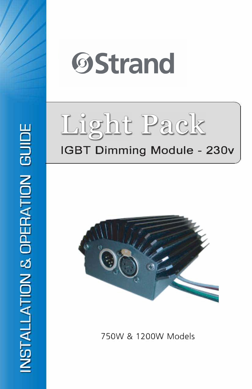





750W & 1200W Models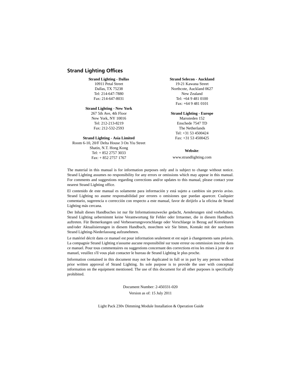## <span id="page-1-0"></span>**Strand Lighting Offices**

#### **Strand Lighting - Dallas**

10911 Petal Street Dallas, TX 75238 Tel: 214-647-7880 Fax: 214-647-8031

#### **Strand Lighting - New York**

267 5th Ave, 4th Floor New York, NY 10016 Tel: 212-213-8219 Fax: 212-532-2593

#### **Strand Lighting - Asia Limited**

Room 6-10, 20/F Delta House 3 On Yiu Street Shatin, N.T. Hong Kong Tel: + 852 2757 3033 Fax: + 852 2757 1767

#### **Strand Selecon - Auckland**

19-21 Kawana Street Northcote, Auckland 0627 New Zealand Tel: +64 9 481 0100 Fax: +64 9 481 0101

#### **Strand Lighting - Europe**

Marssteden 152 Enschede 7547 TD The Netherlands Tel: +31 53 4500424 Fax: +31 53 4500425

#### **Website**:

www.strandlighting.com

The material in this manual is for information purposes only and is subject to change without notice. Strand Lighting assumes no responsibility for any errors or omissions which may appear in this manual. For comments and suggestions regarding corrections and/or updates to this manual, please contact your nearest Strand Lighting office.

El contenido de este manual es solamente para información y está sujeto a cambios sin previo aviso. Strand Lighting no asume responsabilidad por errores o omisiones que puedan aparecer. Cualquier comentario, sugerencia o corrección con respecto a este manual, favor de dirijirlo a la oficina de Strand Lighting más cercana.

Der Inhalt dieses Handbuches ist nur für Informationszwecke gedacht, Aenderungen sind vorbehalten. Strand Lighting uebernimmt keine Verantwortung für Fehler oder Irrtuemer, die in diesem Handbuch auftreten. Für Bemerkungen und Verbesserungsvorschlaege oder Vorschlaege in Bezug auf Korrekturen und/oder Aktualisierungen in diesem Handbuch, moechten wir Sie bitten, Kontakt mit der naechsten Strand Lighting-Niederlassung aufzunehmen.

Le matériel décrit dans ce manuel est pour information seulement et est sujet à changements sans préavis. La compagnie Strand Lighting n'assume aucune responsibilité sur toute erreur ou ommission inscrite dans ce manuel. Pour tous commentaires ou suggestions concernant des corrections et/ou les mises à jour de ce manuel, veuillez s'll vous plait contacter le bureau de Strand Lighting le plus proche.

Information contained in this document may not be duplicated in full or in part by any person without prior written approval of Strand Lighting. Its sole purpose is to provide the user with conceptual information on the equipment mentioned. The use of this document for all other purposes is specifically prohibited.

> Document Number: 2-450331-020 Version as of: 15 July 2011

Light Pack 230v Dimming Module Installation & Operation Guide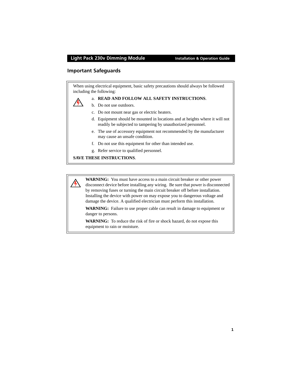### <span id="page-2-0"></span>**Important Safeguards**

When using electrical equipment, basic safety precautions should always be followed including the following:



#### a. **READ AND FOLLOW ALL SAFETY INSTRUCTIONS**.

- b. Do not use outdoors.
- c. Do not mount near gas or electric heaters.
- d. Equipment should be mounted in locations and at heights where it will not readily be subjected to tampering by unauthorized personnel.
- e. The use of accessory equipment not recommended by the manufacturer may cause an unsafe condition.
- f. Do not use this equipment for other than intended use.
- g. Refer service to qualified personnel.

#### **SAVE THESE INSTRUCTIONS**.

**WARNING:** You must have access to a main circuit breaker or other power disconnect device before installing any wiring. Be sure that power is disconnected by removing fuses or turning the main circuit breaker off before installation. Installing the device with power on may expose you to dangerous voltage and damage the device. A qualified electrician must perform this installation.

**WARNING:** Failure to use proper cable can result in damage to equipment or danger to persons.

**WARNING:** To reduce the risk of fire or shock hazard, do not expose this equipment to rain or moisture.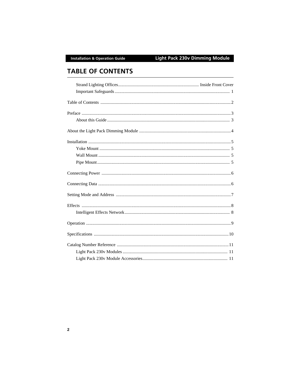# <span id="page-3-0"></span>**TABLE OF CONTENTS**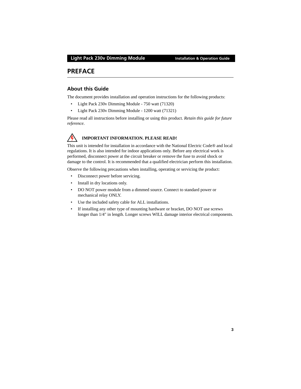## <span id="page-4-0"></span>**PREFACE**

## <span id="page-4-1"></span>**About this Guide**

The document provides installation and operation instructions for the following products:

- Light Pack 230v Dimming Module 750 watt (71320)
- Light Pack 230v Dimming Module 1200 watt (71321)

Please read all instructions before installing or using this product. *Retain this guide for future reference*.



## **IMPORTANT INFORMATION. PLEASE READ!**

This unit is intended for installation in accordance with the National Electric Code® and local regulations. It is also intended for indoor applications only. Before any electrical work is performed, disconnect power at the circuit breaker or remove the fuse to avoid shock or damage to the control. It is recommended that a qualified electrician perform this installation.

Observe the following precautions when installing, operating or servicing the product:

- Disconnect power before servicing.
- Install in dry locations only.
- DO NOT power module from a dimmed source. Connect to standard power or mechanical relay ONLY.
- Use the included safety cable for ALL installations.
- If installing any other type of mounting hardware or bracket, DO NOT use screws longer than 1/4" in length. Longer screws WILL damage interior electrical components.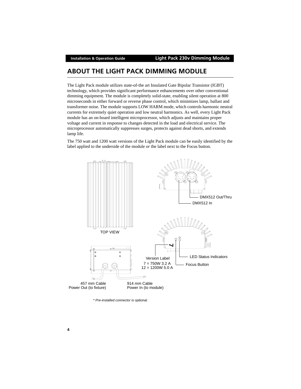# <span id="page-5-0"></span>**ABOUT THE LIGHT PACK DIMMING MODULE**

The Light Pack module utilizes state-of-the art Insulated Gate Bipolar Transistor (IGBT) technology, which provides significant performance enhancements over other conventional dimming equipment. The module is completely solid-state, enabling silent operation at 800 microseconds in either forward or reverse phase control, which minimizes lamp, ballast and transformer noise. The module supports LOW HARM mode, which controls harmonic neutral currents for extremely quiet operation and low neutral harmonics. As well, every Light Pack module has an on-board intelligent microprocessor, which adjusts and maintains proper voltage and current in response to changes detected in the load and electrical service. The microprocessor automatically suppresses surges, protects against dead shorts, and extends lamp life.

The 750 watt and 1200 watt versions of the Light Pack module can be easily identified by the label applied to the underside of the module *or* the label next to the Focus button.



*\* Pre-installed connector is optional.*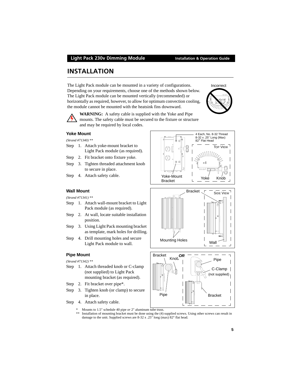The Light Pack module can be mounted in a variety of configurations. Depending on your requirements, choose one of the methods shown below. The Light Pack module can be mounted vertically (recommended) or horizontally as required, however, to allow for optimum convection cooling, the module cannot be mounted with the heatsink fins downward.

**WARNING:** A safety cable is supplied with the Yoke and Pipe mounts. The safety cable must be secured to the fixture or structure and may be required by local codes.

#### <span id="page-6-1"></span>**Yoke Mount**

#### *(Strand #71340) \*\**

- Step 1. Attach yoke-mount bracket to Light Pack module (as required).
- Step 2. Fit bracket onto fixture yoke.
- Step 3. Tighten threaded attachment knob to secure in place.
- Step 4. Attach safety cable.

#### <span id="page-6-2"></span>**Wall Mount**

*(Strand #71341) \*\**

- Step 1. Attach wall-mount bracket to Light Pack module (as required).
- Step 2. At wall, locate suitable installation position.
- Step 3. Using Light Pack mounting bracket as template, mark holes for drilling.
- Step 4. Drill mounting holes and secure Light Pack module to wall.

#### <span id="page-6-3"></span>**Pipe Mount**

*(Strand #71342) \*\**

- Step 1. Attach threaded knob or C-clamp (not supplied) to Light Pack mounting bracket (as required).
- Step 2. Fit bracket over pipe\*.
- Step 3. Tighten knob (or clamp) to secure in place.
- Step 4. Attach safety cable.
	- Mounts to 1.5" schedule 40 pipe *or* 2" aluminum tube truss.
	- \*\* Installation of mounting bracket must be done using the (4) supplied screws. Using other screws can result in damage to the unit. Supplied screws are 8-32 x .25" long (max) 82° flat head.

<span id="page-6-0"></span>**INSTALLATION**





Mounting Holes

Wall

 $\mathbf{I}$ 

 $\mathbf{I}$ 

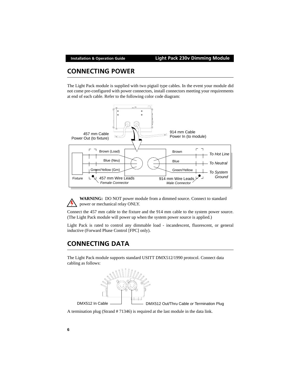# <span id="page-7-0"></span>**CONNECTING POWER**

The Light Pack module is supplied with two pigtail type cables. In the event your module did not come pre-configured with power connectors, install connectors meeting your requirements at end of each cable. Refer to the following color code diagram:



**WARNING:** DO NOT power module from a dimmed source. Connect to standard power or mechanical relay ONLY.

Connect the 457 mm cable to the fixture and the 914 mm cable to the system power source. (The Light Pack module will power up when the system power source is applied.)

Light Pack is rated to control any dimmable load - incandescent, fluorescent, or general inductive (Forward Phase Control [FPC] only).

# <span id="page-7-1"></span>**CONNECTING DATA**

The Light Pack module supports standard USITT DMX512/1990 protocol. Connect data cabling as follows:



DMX512 In Cable DMX512 Out/Thru Cable *or* Termination Plug

A termination plug (Strand # 71346) is required at the last module in the data link.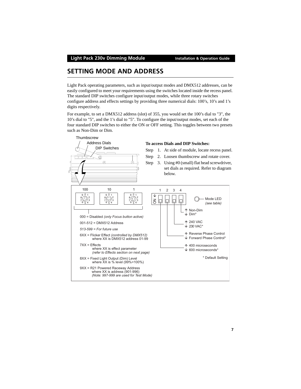# <span id="page-8-0"></span>**SETTING MODE AND ADDRESS**

Light Pack operating parameters, such as input/output modes and DMX512 addresses, can be easily configured to meet your requirements using the switches located inside the recess panel. The standard DIP switches configure input/output modes, while three rotary switches configure address and effects settings by providing three numerical dials: 100's, 10's and 1's digits respectively.

For example, to set a DMX512 address (slot) of 355, you would set the 100's dial to "3", the 10's dial to "5", and the 1's dial to "5". To configure the input/output modes, set each of the four standard DIP switches to either the ON or OFF setting. This toggles between two presets such as Non-Dim or Dim.

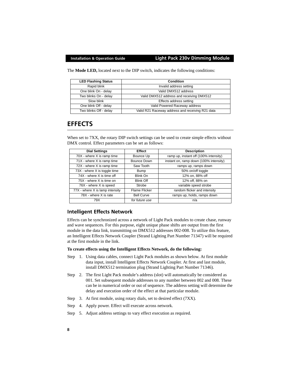The **Mode LED,** located next to the DIP switch, indicates the following conditions:

| <b>LED Flashing Status</b> | Condition                                        |
|----------------------------|--------------------------------------------------|
| Rapid blink                | Invalid address setting                          |
| One blink On - delay       | Valid DMX512 address                             |
| Two blinks On - delay      | Valid DMX512 address and receiving DMX512        |
| Slow blink                 | Effects address setting                          |
| One blink Off - delay      | Valid Powered Raceway address                    |
| Two blinks Off - delay     | Valid R21 Raceway address and receiving R21 data |

## <span id="page-9-0"></span>**EFFECTS**

When set to 7XX, the rotary DIP switch settings can be used to create simple effects without DMX control. Effect parameters can be set as follows:

| <b>Dial Settings</b>            | <b>Effect</b>        | <b>Description</b>                     |
|---------------------------------|----------------------|----------------------------------------|
| 70X - where X is ramp time      | Bounce Up            | ramp up, instant off (100% intensity)  |
| 71X - where X is ramp time      | Bounce Down          | instant on, ramp down (100% intensity) |
| 72X - where X is ramp time      | Saw Tooth            | ramps up, ramps down                   |
| 73X - where X is toggle time    | Bump                 | 50% on/off toggle                      |
| 74X - where X is time off       | <b>Blink On</b>      | 12% on, 88% off                        |
| 75X - where X is time on        | <b>Blink Off</b>     | 12% off, 88% on                        |
| 76X - where X is speed          | Strobe               | variable speed strobe                  |
| 77X - where X is lamp intensity | <b>Flame Flicker</b> | random flicker and intensity           |
| 78X - where X is rate           | <b>Bell Curve</b>    | ramps up, holds, ramps down            |
| 79X                             | for future use       | n/a                                    |

## <span id="page-9-1"></span>**Intelligent Effects Network**

Effects can be synchronized across a network of Light Pack modules to create chase, runway and wave sequences. For this purpose, eight unique phase shifts are output from the first module in the data link, transmitting on DMX512 addresses 002-008. To utilize this feature, an Intelligent Effects Network Coupler (Strand Lighting Part Number 71347) will be required at the first module in the link.

#### **To create effects using the Intelligent Effects Network, do the following:**

- Step 1. Using data cables, connect Light Pack modules as shown below. At first module data input, install Intelligent Effects Network Coupler. At first and last module, install DMX512 termination plug (Strand Lighting Part Number 71346).
- Step 2. The first Light Pack module's address (slot) will automatically be considered as 001. Set subsequent module addresses to any number between 002 and 008. These can be in numerical order or out of sequence. The address setting will determine the delay and execution order of the effect at that particular module.
- Step 3. At first module, using rotary dials, set to desired effect (7XX).
- Step 4. Apply power. Effect will execute across network.
- Step 5. Adjust address settings to vary effect execution as required.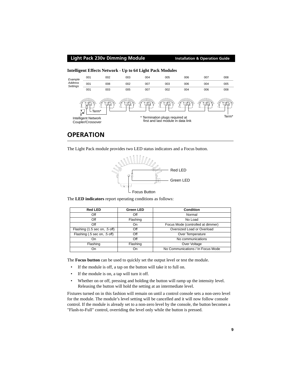#### **Light Pack 230v Dimming Module Installation & Operation Guide Intelligent Effects Network - Up to 64 Light Pack Modules** 002 003 004 005 006 007 008 *Example* 001 *Address* 001 008 002 007 003 006 004 005 *Settings* 001 003 005 007 002 004 006 008 www мш Term\* Term\* Termination plugs required at Intelligent Network **First and Intelligent Network**<br>Counter/Crossover **Intelligent Intelligent Network** Intelligent Network Coupler/Crossover

# <span id="page-10-0"></span>**OPERATION**

The Light Pack module provides two LED status indicators and a Focus button.



The **LED indicators** report operating conditions as follows:

| <b>Red LED</b>                | Green LED | Condition                         |
|-------------------------------|-----------|-----------------------------------|
| Off                           | Off       | Normal                            |
| Off                           | Flashing  | No Load                           |
| Off                           | On        | Focus Mode (controlled at dimmer) |
| Flashing (1.5 sec on, .5 off) | Off       | Oversized Load or Overload        |
| Flashing (.5 sec on, .5 off)  | Off       | Over Temperature                  |
| On                            | Off       | No communications                 |
| Flashing                      | Flashing  | Over Voltage                      |
| On                            | On        | No Communications / In Focus Mode |

The **Focus button** can be used to quickly set the output level or test the module.

- If the module is off, a tap on the button will take it to full on.
- If the module is on, a tap will turn it off.
- Whether on or off, pressing and holding the button will ramp up the intensity level. Releasing the button will hold the setting at an intermediate level.

Fixtures turned on in this fashion will remain on until a control console sets a non-zero level for the module. The module's level setting will be cancelled and it will now follow console control. If the module is already set to a non-zero level by the console, the button becomes a "Flash-to-Full" control, overriding the level only while the button is pressed.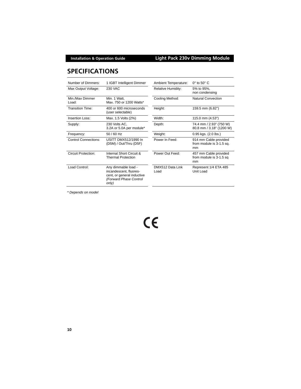# <span id="page-11-0"></span>**SPECIFICATIONS**

| Number of Dimmers:          | 1 IGBT Intelligent Dimmer                                                                                      | <b>Ambient Temperature:</b> | $0^\circ$ to $50^\circ$ C                               |
|-----------------------------|----------------------------------------------------------------------------------------------------------------|-----------------------------|---------------------------------------------------------|
| Max Output Voltage:         | <b>230 VAC</b>                                                                                                 | <b>Relative Humidity:</b>   | 5% to 95%,<br>non condensing                            |
| Min./Max Dimmer<br>Load:    | Min. 1 Watt,<br>Max. 750 or 1200 Watts*                                                                        | Cooling Method:             | <b>Natural Convection</b>                               |
| Transition Time:            | 400 or 600 microseconds<br>(user selectable)                                                                   | Height:                     | 159.5 mm (6.82")                                        |
| Insertion Loss:             | Max. 1.5 Volts (2%)                                                                                            | Width:                      | 115.0 mm (4.53")                                        |
| Supply:                     | 230 Volts AC,<br>3.2A or 5.0A per module*                                                                      | Depth:                      | 74.4 mm / 2.93" (750 W)<br>80.8 mm / 3.18" (1200 W)     |
| Frequency:                  | $50/60$ Hz                                                                                                     | Weight:                     | 0.95 kgs. (2.0 lbs.)                                    |
| <b>Control Connections:</b> | USITT DMX512/1990 In<br>(D5M) / Out/Thru (D5F)                                                                 | Power In Feed:              | 914 mm Cable provided<br>from module is 3-1.5 sq.<br>mm |
| Circuit Protection:         | Internal Short Circuit &<br><b>Thermal Protection</b>                                                          | Power Out Feed:             | 457 mm Cable provided<br>from module is 3-1.5 sq<br>mm  |
| Load Control:               | Any dimmable load -<br>incandescent, fluores-<br>cent, or general inductive<br>(Forward Phase Control<br>only) | DMX512 Data Link<br>Load    | Represent 1/4 ETA 485<br>Unit Load                      |

*\* Depends on model*

# $C\epsilon$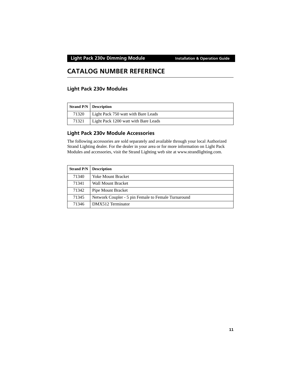# <span id="page-12-0"></span>**CATALOG NUMBER REFERENCE**

## <span id="page-12-1"></span>**Light Pack 230v Modules**

| <b>Strand P/N</b> Description |                                      |
|-------------------------------|--------------------------------------|
| 71320                         | Light Pack 750 watt with Bare Leads  |
| 71321                         | Light Pack 1200 watt with Bare Leads |

## <span id="page-12-2"></span>**Light Pack 230v Module Accessories**

[The following accessories are sold separately and available through your local Authorized](http://www.strandlighting.com)  Strand Lighting dealer. For the dealer in your area or for more information on Light Pack Modules and accessories, visit the Strand Lighting web site at www.strandlighting.com.

| <b>Strand P/N</b> | <b>Description</b>                                  |
|-------------------|-----------------------------------------------------|
| 71340             | <b>Yoke Mount Bracket</b>                           |
| 71341             | <b>Wall Mount Bracket</b>                           |
| 71342             | Pipe Mount Bracket                                  |
| 71345             | Network Coupler - 5 pin Female to Female Turnaround |
| 71346             | DMX512 Terminator                                   |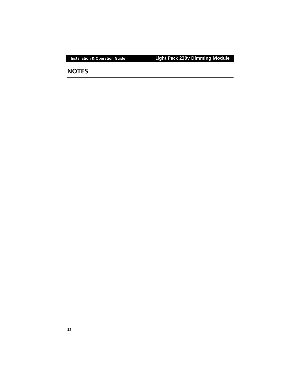## **NOTES**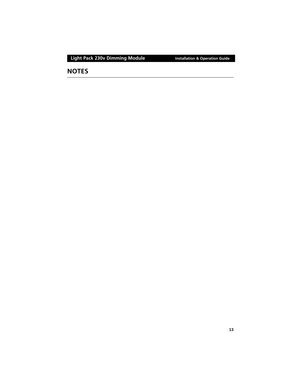## **NOTES**